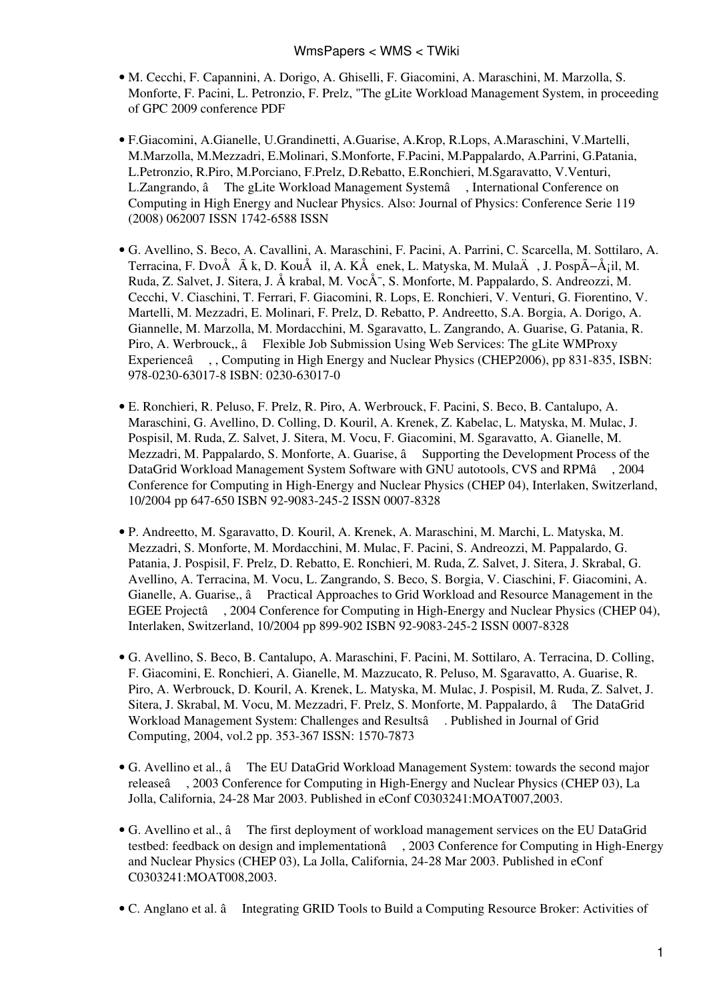- M. Cecchi, F. Capannini, A. Dorigo, A. Ghiselli, F. Giacomini, A. Maraschini, M. Marzolla, S. Monforte, F. Pacini, L. Petronzio, F. Prelz, "The gLite Workload Management System, in proceeding of GPC 2009 conference [PDF](https://wiki-igi.cnaf.infn.it/twiki/pub/WMS/WmsPapers/gpc09.pdf)
- F.Giacomini, A.Gianelle, U.Grandinetti, A.Guarise, A.Krop, R.Lops, A.Maraschini, V.Martelli, M.Marzolla, M.Mezzadri, E.Molinari, S.Monforte, F.Pacini, M.Pappalardo, A.Parrini, G.Patania, L.Petronzio, R.Piro, M.Porciano, F.Prelz, D.Rebatto, E.Ronchieri, M.Sgaravatto, V.Venturi, L.Zangrando, â The gLite Workload Management Systemâ, International Conference on Computing in High Energy and Nuclear Physics. Also: Journal of Physics: Conference Serie 119 (2008) 062007 ISSN 1742-6588 ISSN
- G. Avellino, S. Beco, A. Cavallini, A. Maraschini, F. Pacini, A. Parrini, C. Scarcella, M. Sottilaro, A. Terracina, F. DvoÅ  $\tilde{A}$  k, D. KouÅ il, A. KÅ enek, L. Matyska, M. MulaÄ, J. PospÖÅ;il, M. Ruda, Z. Salvet, J. Sitera, J. Å krabal, M. Voc $A^-$ , S. Monforte, M. Pappalardo, S. Andreozzi, M. Cecchi, V. Ciaschini, T. Ferrari, F. Giacomini, R. Lops, E. Ronchieri, V. Venturi, G. Fiorentino, V. Martelli, M. Mezzadri, E. Molinari, F. Prelz, D. Rebatto, P. Andreetto, S.A. Borgia, A. Dorigo, A. Giannelle, M. Marzolla, M. Mordacchini, M. Sgaravatto, L. Zangrando, A. Guarise, G. Patania, R. Piro, A. Werbrouck,, â Flexible Job Submission Using Web Services: The gLite WMProxy Experienceâ, , Computing in High Energy and Nuclear Physics (CHEP2006), pp 831-835, ISBN: 978-0230-63017-8 ISBN: 0230-63017-0
- E. Ronchieri, R. Peluso, F. Prelz, R. Piro, A. Werbrouck, F. Pacini, S. Beco, B. Cantalupo, A. Maraschini, G. Avellino, D. Colling, D. Kouril, A. Krenek, Z. Kabelac, L. Matyska, M. Mulac, J. Pospisil, M. Ruda, Z. Salvet, J. Sitera, M. Vocu, F. Giacomini, M. Sgaravatto, A. Gianelle, M. Mezzadri, M. Pappalardo, S. Monforte, A. Guarise,  $\hat{a}$  Supporting the Development Process of the DataGrid Workload Management System Software with GNU autotools, CVS and RPMâ, 2004 Conference for Computing in High-Energy and Nuclear Physics (CHEP 04), Interlaken, Switzerland, 10/2004 pp 647-650 ISBN 92-9083-245-2 ISSN 0007-8328
- P. Andreetto, M. Sgaravatto, D. Kouril, A. Krenek, A. Maraschini, M. Marchi, L. Matyska, M. Mezzadri, S. Monforte, M. Mordacchini, M. Mulac, F. Pacini, S. Andreozzi, M. Pappalardo, G. Patania, J. Pospisil, F. Prelz, D. Rebatto, E. Ronchieri, M. Ruda, Z. Salvet, J. Sitera, J. Skrabal, G. Avellino, A. Terracina, M. Vocu, L. Zangrando, S. Beco, S. Borgia, V. Ciaschini, F. Giacomini, A. Gianelle, A. Guarise,, â Practical Approaches to Grid Workload and Resource Management in the EGEE Projectâ, 2004 Conference for Computing in High-Energy and Nuclear Physics (CHEP 04), Interlaken, Switzerland, 10/2004 pp 899-902 ISBN 92-9083-245-2 ISSN 0007-8328
- G. Avellino, S. Beco, B. Cantalupo, A. Maraschini, F. Pacini, M. Sottilaro, A. Terracina, D. Colling, F. Giacomini, E. Ronchieri, A. Gianelle, M. Mazzucato, R. Peluso, M. Sgaravatto, A. Guarise, R. Piro, A. Werbrouck, D. Kouril, A. Krenek, L. Matyska, M. Mulac, J. Pospisil, M. Ruda, Z. Salvet, J. Sitera, J. Skrabal, M. Vocu, M. Mezzadri, F. Prelz, S. Monforte, M. Pappalardo, â The DataGrid Workload Management System: Challenges and Resultsâ. Published in Journal of Grid Computing, 2004, vol.2 pp. 353-367 ISSN: 1570-7873
- G. Avellino et al.,  $\hat{a}$  The EU DataGrid Workload Management System: towards the second major releaseâ, 2003 Conference for Computing in High-Energy and Nuclear Physics (CHEP 03), La Jolla, California, 24-28 Mar 2003. Published in eConf C0303241:MOAT007,2003.
- G. Avellino et al.,  $\hat{a}$  The first deployment of workload management services on the EU DataGrid testbed: feedback on design and implementationâ, 2003 Conference for Computing in High-Energy and Nuclear Physics (CHEP 03), La Jolla, California, 24-28 Mar 2003. Published in eConf C0303241:MOAT008,2003.
- C. Anglano et al. â Integrating GRID Tools to Build a Computing Resource Broker: Activities of